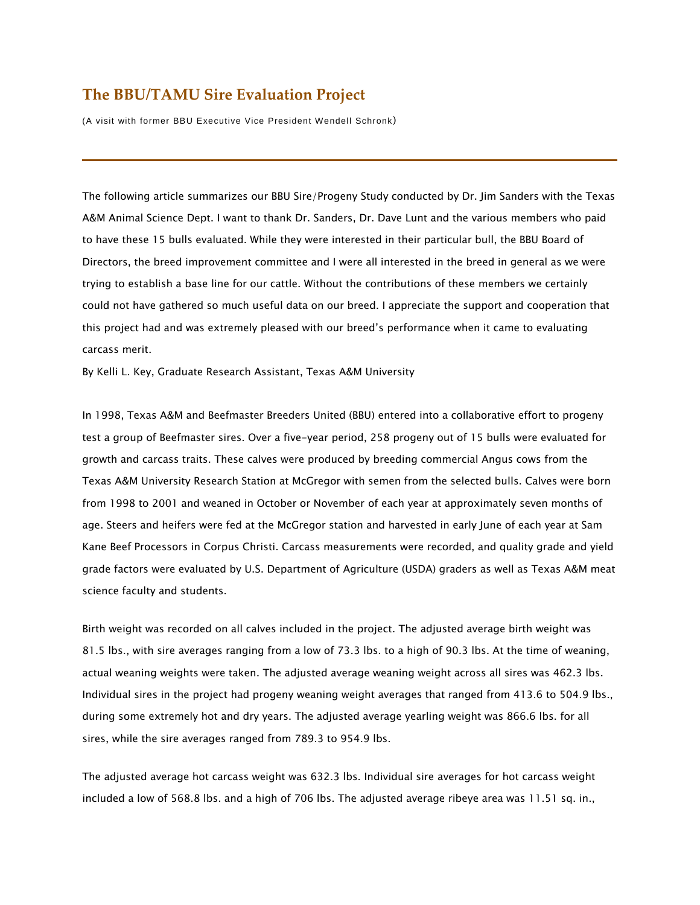## **The BBU/TAMU Sire Evaluation Project**

(A visit with former BBU Executive Vice President Wendell Schronk)

The following article summarizes our BBU Sire/Progeny Study conducted by Dr. Jim Sanders with the Texas A&M Animal Science Dept. I want to thank Dr. Sanders, Dr. Dave Lunt and the various members who paid to have these 15 bulls evaluated. While they were interested in their particular bull, the BBU Board of Directors, the breed improvement committee and I were all interested in the breed in general as we were trying to establish a base line for our cattle. Without the contributions of these members we certainly could not have gathered so much useful data on our breed. I appreciate the support and cooperation that this project had and was extremely pleased with our breed's performance when it came to evaluating carcass merit.

By Kelli L. Key, Graduate Research Assistant, Texas A&M University

In 1998, Texas A&M and Beefmaster Breeders United (BBU) entered into a collaborative effort to progeny test a group of Beefmaster sires. Over a five-year period, 258 progeny out of 15 bulls were evaluated for growth and carcass traits. These calves were produced by breeding commercial Angus cows from the Texas A&M University Research Station at McGregor with semen from the selected bulls. Calves were born from 1998 to 2001 and weaned in October or November of each year at approximately seven months of age. Steers and heifers were fed at the McGregor station and harvested in early June of each year at Sam Kane Beef Processors in Corpus Christi. Carcass measurements were recorded, and quality grade and yield grade factors were evaluated by U.S. Department of Agriculture (USDA) graders as well as Texas A&M meat science faculty and students.

Birth weight was recorded on all calves included in the project. The adjusted average birth weight was 81.5 lbs., with sire averages ranging from a low of 73.3 lbs. to a high of 90.3 lbs. At the time of weaning, actual weaning weights were taken. The adjusted average weaning weight across all sires was 462.3 lbs. Individual sires in the project had progeny weaning weight averages that ranged from 413.6 to 504.9 lbs., during some extremely hot and dry years. The adjusted average yearling weight was 866.6 lbs. for all sires, while the sire averages ranged from 789.3 to 954.9 lbs.

The adjusted average hot carcass weight was 632.3 lbs. Individual sire averages for hot carcass weight included a low of 568.8 lbs. and a high of 706 lbs. The adjusted average ribeye area was 11.51 sq. in.,